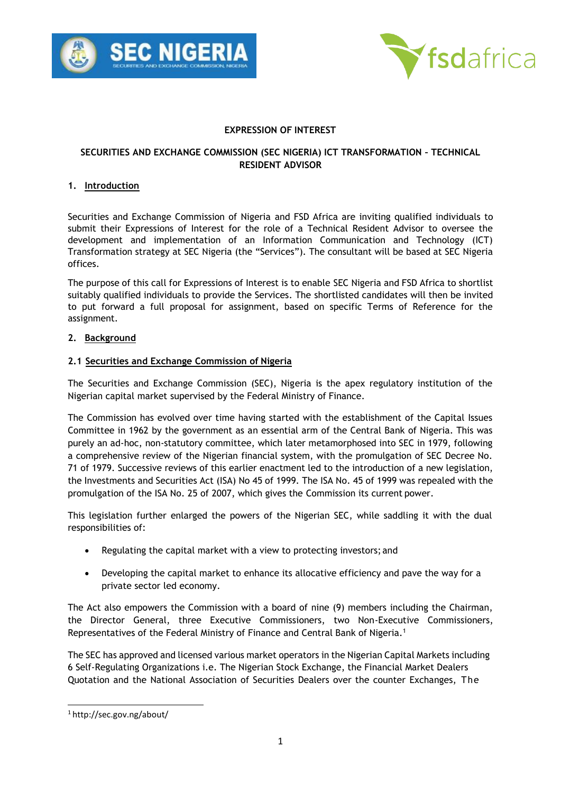



## **EXPRESSION OF INTEREST**

## **SECURITIES AND EXCHANGE COMMISSION (SEC NIGERIA) ICT TRANSFORMATION – TECHNICAL RESIDENT ADVISOR**

### **1. Introduction**

Securities and Exchange Commission of Nigeria and FSD Africa are inviting qualified individuals to submit their Expressions of Interest for the role of a Technical Resident Advisor to oversee the development and implementation of an Information Communication and Technology (ICT) Transformation strategy at SEC Nigeria (the "Services"). The consultant will be based at SEC Nigeria offices.

The purpose of this call for Expressions of Interest is to enable SEC Nigeria and FSD Africa to shortlist suitably qualified individuals to provide the Services. The shortlisted candidates will then be invited to put forward a full proposal for assignment, based on specific Terms of Reference for the assignment.

## **2. Background**

## **2.1 Securities and Exchange Commission of Nigeria**

The Securities and Exchange Commission (SEC), Nigeria is the apex regulatory institution of the Nigerian capital market supervised by the Federal Ministry of Finance.

The Commission has evolved over time having started with the establishment of the Capital Issues Committee in 1962 by the government as an essential arm of the Central Bank of Nigeria. This was purely an ad-hoc, non-statutory committee, which later metamorphosed into SEC in 1979, following a comprehensive review of the Nigerian financial system, with the promulgation of SEC Decree No. 71 of 1979. Successive reviews of this earlier enactment led to the introduction of a new legislation, the Investments and Securities Act (ISA) No 45 of 1999. The ISA No. 45 of 1999 was repealed with the promulgation of the ISA No. 25 of 2007, which gives the Commission its current power.

This legislation further enlarged the powers of the Nigerian SEC, while saddling it with the dual responsibilities of:

- Regulating the capital market with a view to protecting investors; and
- Developing the capital market to enhance its allocative efficiency and pave the way for a private sector led economy.

The Act also empowers the Commission with a board of nine (9) members including the Chairman, the Director General, three Executive Commissioners, two Non-Executive Commissioners, Representatives of the Federal Ministry of Finance and Central Bank of Nigeria.<sup>1</sup>

The SEC has approved and licensed various market operators in the Nigerian Capital Markets including 6 Self-Regulating Organizations i.e. The Nigerian Stock Exchange, the Financial Market Dealers Quotation and the National Association of Securities Dealers over the counter Exchanges, The

<sup>1</sup> <http://sec.gov.ng/about/>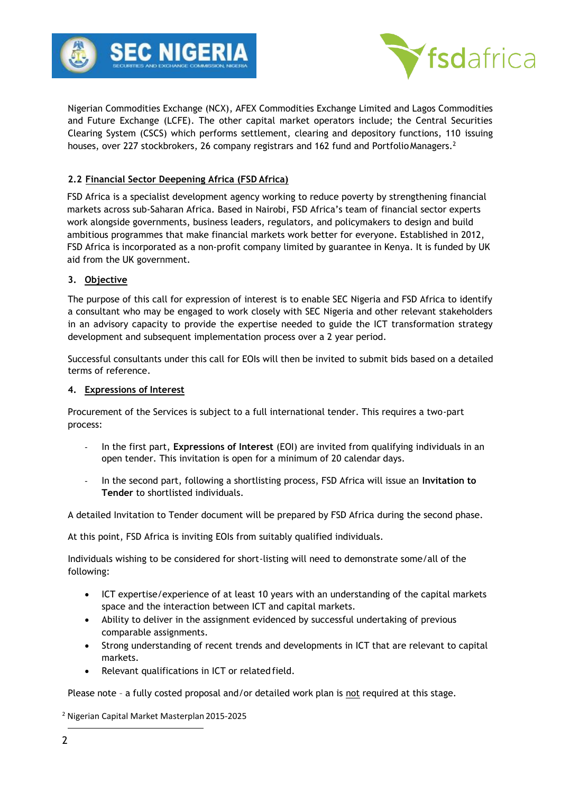



Nigerian Commodities Exchange (NCX), AFEX Commodities Exchange Limited and Lagos Commodities and Future Exchange (LCFE). The other capital market operators include; the Central Securities Clearing System (CSCS) which performs settlement, clearing and depository functions, 110 issuing houses, over 227 stockbrokers, 26 company registrars and 162 fund and Portfolio Managers.<sup>2</sup>

# **2.2 Financial Sector Deepening Africa (FSD Africa)**

FSD Africa is a specialist development agency working to reduce poverty by strengthening financial markets across sub-Saharan Africa. Based in Nairobi, FSD Africa's team of financial sector experts work alongside governments, business leaders, regulators, and policymakers to design and build ambitious programmes that make financial markets work better for everyone. Established in 2012, FSD Africa is incorporated as a non-profit company limited by guarantee in Kenya. It is funded by UK aid from the UK government.

## **3. Objective**

The purpose of this call for expression of interest is to enable SEC Nigeria and FSD Africa to identify a consultant who may be engaged to work closely with SEC Nigeria and other relevant stakeholders in an advisory capacity to provide the expertise needed to guide the ICT transformation strategy development and subsequent implementation process over a 2 year period.

Successful consultants under this call for EOIs will then be invited to submit bids based on a detailed terms of reference.

## **4. Expressions of Interest**

Procurement of the Services is subject to a full international tender. This requires a two-part process:

- In the first part, **Expressions of Interest** (EOI) are invited from qualifying individuals in an open tender. This invitation is open for a minimum of 20 calendar days.
- In the second part, following a shortlisting process, FSD Africa will issue an **Invitation to Tender** to shortlisted individuals.

A detailed Invitation to Tender document will be prepared by FSD Africa during the second phase.

At this point, FSD Africa is inviting EOIs from suitably qualified individuals.

Individuals wishing to be considered for short-listing will need to demonstrate some/all of the following:

- ICT expertise/experience of at least 10 years with an understanding of the capital markets space and the interaction between ICT and capital markets.
- Ability to deliver in the assignment evidenced by successful undertaking of previous comparable assignments.
- Strong understanding of recent trends and developments in ICT that are relevant to capital markets.
- Relevant qualifications in ICT or related field.

Please note – a fully costed proposal and/or detailed work plan is not required at this stage.

<sup>2</sup> Nigerian Capital Market Masterplan 2015-2025